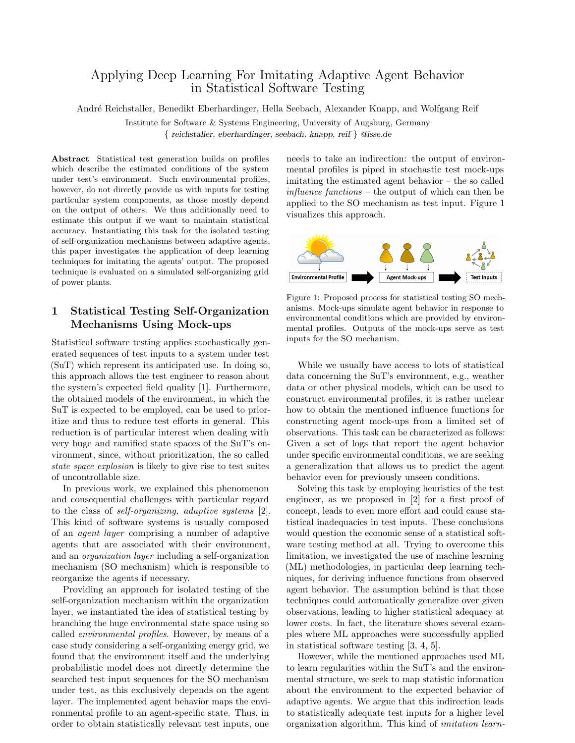# Applying Deep Learning For Imitating Adaptive Agent Behavior in Statistical Software Testing

Andr´e Reichstaller, Benedikt Eberhardinger, Hella Seebach, Alexander Knapp, and Wolfgang Reif

Institute for Software & Systems Engineering, University of Augsburg, Germany

{ reichstaller, eberhardinger, seebach, knapp, reif } @isse.de

Abstract Statistical test generation builds on profiles which describe the estimated conditions of the system under test's environment. Such environmental profiles, however, do not directly provide us with inputs for testing particular system components, as those mostly depend on the output of others. We thus additionally need to estimate this output if we want to maintain statistical accuracy. Instantiating this task for the isolated testing of self-organization mechanisms between adaptive agents, this paper investigates the application of deep learning techniques for imitating the agents' output. The proposed technique is evaluated on a simulated self-organizing grid of power plants.

## 1 Statistical Testing Self-Organization Mechanisms Using Mock-ups

Statistical software testing applies stochastically generated sequences of test inputs to a system under test (SuT) which represent its anticipated use. In doing so, this approach allows the test engineer to reason about the system's expected field quality [1]. Furthermore, the obtained models of the environment, in which the SuT is expected to be employed, can be used to prioritize and thus to reduce test efforts in general. This reduction is of particular interest when dealing with very huge and ramified state spaces of the SuT's environment, since, without prioritization, the so called state space explosion is likely to give rise to test suites of uncontrollable size.

In previous work, we explained this phenomenon and consequential challenges with particular regard to the class of self-organizing, adaptive systems [2]. This kind of software systems is usually composed of an agent layer comprising a number of adaptive agents that are associated with their environment, and an organization layer including a self-organization mechanism (SO mechanism) which is responsible to reorganize the agents if necessary.

Providing an approach for isolated testing of the self-organization mechanism within the organization layer, we instantiated the idea of statistical testing by branching the huge environmental state space using so called environmental profiles. However, by means of a case study considering a self-organizing energy grid, we found that the environment itself and the underlying probabilistic model does not directly determine the searched test input sequences for the SO mechanism under test, as this exclusively depends on the agent layer. The implemented agent behavior maps the environmental profile to an agent-specific state. Thus, in order to obtain statistically relevant test inputs, one

needs to take an indirection: the output of environmental profiles is piped in stochastic test mock-ups imitating the estimated agent behavior – the so called influence functions – the output of which can then be applied to the SO mechanism as test input. Figure 1 visualizes this approach.



Figure 1: Proposed process for statistical testing SO mechanisms. Mock-ups simulate agent behavior in response to environmental conditions which are provided by environmental profiles. Outputs of the mock-ups serve as test inputs for the SO mechanism.

While we usually have access to lots of statistical data concerning the SuT's environment, e.g., weather data or other physical models, which can be used to construct environmental profiles, it is rather unclear how to obtain the mentioned influence functions for constructing agent mock-ups from a limited set of observations. This task can be characterized as follows: Given a set of logs that report the agent behavior under specific environmental conditions, we are seeking a generalization that allows us to predict the agent behavior even for previously unseen conditions.

Solving this task by employing heuristics of the test engineer, as we proposed in [2] for a first proof of concept, leads to even more effort and could cause statistical inadequacies in test inputs. These conclusions would question the economic sense of a statistical software testing method at all. Trying to overcome this limitation, we investigated the use of machine learning (ML) methodologies, in particular deep learning techniques, for deriving influence functions from observed agent behavior. The assumption behind is that those techniques could automatically generalize over given observations, leading to higher statistical adequacy at lower costs. In fact, the literature shows several examples where ML approaches were successfully applied in statistical software testing [3, 4, 5].

However, while the mentioned approaches used ML to learn regularities within the SuT's and the environmental structure, we seek to map statistic information about the environment to the expected behavior of adaptive agents. We argue that this indirection leads to statistically adequate test inputs for a higher level organization algorithm. This kind of imitation learn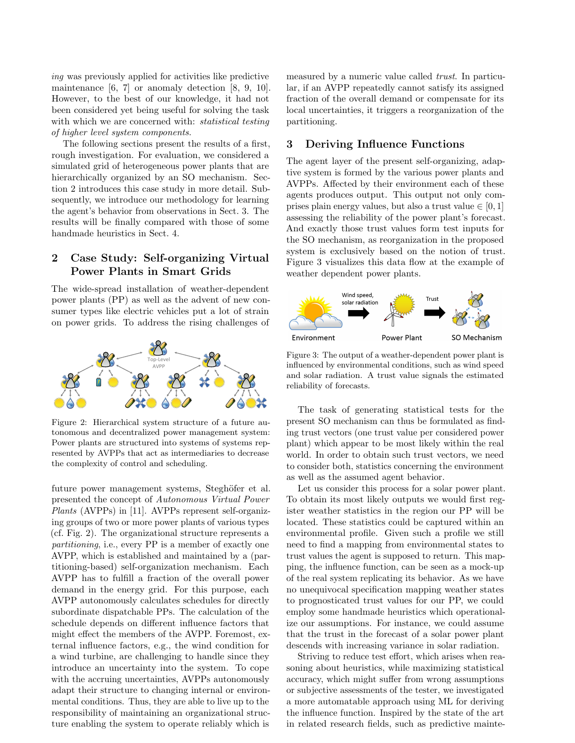ing was previously applied for activities like predictive maintenance  $[6, 7]$  or anomaly detection  $[8, 9, 10]$ . However, to the best of our knowledge, it had not been considered yet being useful for solving the task with which we are concerned with: *statistical testing* of higher level system components.

The following sections present the results of a first, rough investigation. For evaluation, we considered a simulated grid of heterogeneous power plants that are hierarchically organized by an SO mechanism. Section 2 introduces this case study in more detail. Subsequently, we introduce our methodology for learning the agent's behavior from observations in Sect. 3. The results will be finally compared with those of some handmade heuristics in Sect. 4.

# 2 Case Study: Self-organizing Virtual Power Plants in Smart Grids

The wide-spread installation of weather-dependent power plants (PP) as well as the advent of new consumer types like electric vehicles put a lot of strain on power grids. To address the rising challenges of



Figure 2: Hierarchical system structure of a future autonomous and decentralized power management system: Power plants are structured into systems of systems represented by AVPPs that act as intermediaries to decrease the complexity of control and scheduling.

future power management systems, Steghöfer et al. presented the concept of Autonomous Virtual Power Plants (AVPPs) in [11]. AVPPs represent self-organizing groups of two or more power plants of various types (cf. Fig. 2). The organizational structure represents a partitioning, i.e., every PP is a member of exactly one AVPP, which is established and maintained by a (partitioning-based) self-organization mechanism. Each AVPP has to fulfill a fraction of the overall power demand in the energy grid. For this purpose, each AVPP autonomously calculates schedules for directly subordinate dispatchable PPs. The calculation of the schedule depends on different influence factors that might effect the members of the AVPP. Foremost, external influence factors, e.g., the wind condition for a wind turbine, are challenging to handle since they introduce an uncertainty into the system. To cope with the accruing uncertainties, AVPPs autonomously adapt their structure to changing internal or environmental conditions. Thus, they are able to live up to the responsibility of maintaining an organizational structure enabling the system to operate reliably which is

measured by a numeric value called trust. In particular, if an AVPP repeatedly cannot satisfy its assigned fraction of the overall demand or compensate for its local uncertainties, it triggers a reorganization of the partitioning.

### 3 Deriving Influence Functions

The agent layer of the present self-organizing, adaptive system is formed by the various power plants and AVPPs. Affected by their environment each of these agents produces output. This output not only comprises plain energy values, but also a trust value  $\in [0, 1]$ assessing the reliability of the power plant's forecast. And exactly those trust values form test inputs for the SO mechanism, as reorganization in the proposed system is exclusively based on the notion of trust. Figure 3 visualizes this data flow at the example of weather dependent power plants.



Figure 3: The output of a weather-dependent power plant is influenced by environmental conditions, such as wind speed and solar radiation. A trust value signals the estimated reliability of forecasts.

The task of generating statistical tests for the present SO mechanism can thus be formulated as finding trust vectors (one trust value per considered power plant) which appear to be most likely within the real world. In order to obtain such trust vectors, we need to consider both, statistics concerning the environment as well as the assumed agent behavior.

Let us consider this process for a solar power plant. To obtain its most likely outputs we would first register weather statistics in the region our PP will be located. These statistics could be captured within an environmental profile. Given such a profile we still need to find a mapping from environmental states to trust values the agent is supposed to return. This mapping, the influence function, can be seen as a mock-up of the real system replicating its behavior. As we have no unequivocal specification mapping weather states to prognosticated trust values for our PP, we could employ some handmade heuristics which operationalize our assumptions. For instance, we could assume that the trust in the forecast of a solar power plant descends with increasing variance in solar radiation.

Striving to reduce test effort, which arises when reasoning about heuristics, while maximizing statistical accuracy, which might suffer from wrong assumptions or subjective assessments of the tester, we investigated a more automatable approach using ML for deriving the influence function. Inspired by the state of the art in related research fields, such as predictive mainte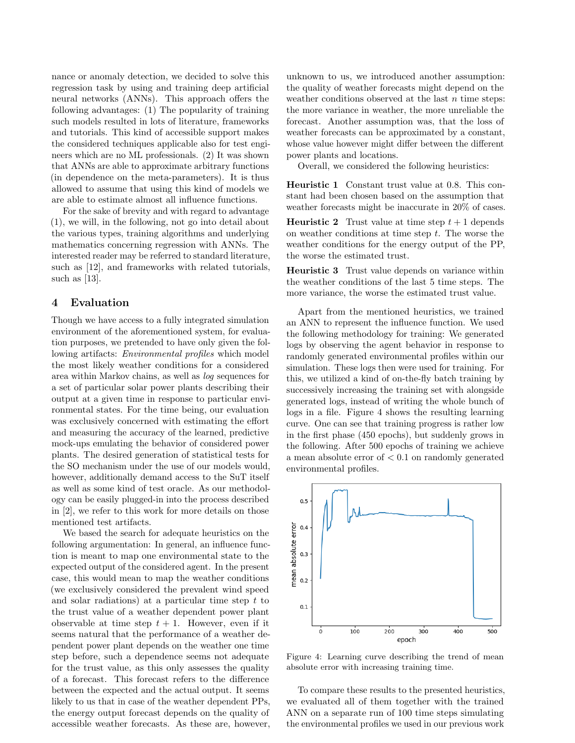nance or anomaly detection, we decided to solve this regression task by using and training deep artificial neural networks (ANNs). This approach offers the following advantages: (1) The popularity of training such models resulted in lots of literature, frameworks and tutorials. This kind of accessible support makes the considered techniques applicable also for test engineers which are no ML professionals. (2) It was shown that ANNs are able to approximate arbitrary functions (in dependence on the meta-parameters). It is thus allowed to assume that using this kind of models we are able to estimate almost all influence functions.

For the sake of brevity and with regard to advantage (1), we will, in the following, not go into detail about the various types, training algorithms and underlying mathematics concerning regression with ANNs. The interested reader may be referred to standard literature, such as [12], and frameworks with related tutorials, such as [13].

### 4 Evaluation

Though we have access to a fully integrated simulation environment of the aforementioned system, for evaluation purposes, we pretended to have only given the following artifacts: *Environmental profiles* which model the most likely weather conditions for a considered area within Markov chains, as well as log sequences for a set of particular solar power plants describing their output at a given time in response to particular environmental states. For the time being, our evaluation was exclusively concerned with estimating the effort and measuring the accuracy of the learned, predictive mock-ups emulating the behavior of considered power plants. The desired generation of statistical tests for the SO mechanism under the use of our models would, however, additionally demand access to the SuT itself as well as some kind of test oracle. As our methodology can be easily plugged-in into the process described in [2], we refer to this work for more details on those mentioned test artifacts.

We based the search for adequate heuristics on the following argumentation: In general, an influence function is meant to map one environmental state to the expected output of the considered agent. In the present case, this would mean to map the weather conditions (we exclusively considered the prevalent wind speed and solar radiations) at a particular time step  $t$  to the trust value of a weather dependent power plant observable at time step  $t + 1$ . However, even if it seems natural that the performance of a weather dependent power plant depends on the weather one time step before, such a dependence seems not adequate for the trust value, as this only assesses the quality of a forecast. This forecast refers to the difference between the expected and the actual output. It seems likely to us that in case of the weather dependent PPs, the energy output forecast depends on the quality of accessible weather forecasts. As these are, however, unknown to us, we introduced another assumption: the quality of weather forecasts might depend on the weather conditions observed at the last  $n$  time steps: the more variance in weather, the more unreliable the forecast. Another assumption was, that the loss of weather forecasts can be approximated by a constant, whose value however might differ between the different power plants and locations.

Overall, we considered the following heuristics:

Heuristic 1 Constant trust value at 0.8. This constant had been chosen based on the assumption that weather forecasts might be inaccurate in 20% of cases.

**Heuristic 2** Trust value at time step  $t + 1$  depends on weather conditions at time step  $t$ . The worse the weather conditions for the energy output of the PP, the worse the estimated trust.

Heuristic 3 Trust value depends on variance within the weather conditions of the last 5 time steps. The more variance, the worse the estimated trust value.

Apart from the mentioned heuristics, we trained an ANN to represent the influence function. We used the following methodology for training: We generated logs by observing the agent behavior in response to randomly generated environmental profiles within our simulation. These logs then were used for training. For this, we utilized a kind of on-the-fly batch training by successively increasing the training set with alongside generated logs, instead of writing the whole bunch of logs in a file. Figure 4 shows the resulting learning curve. One can see that training progress is rather low in the first phase (450 epochs), but suddenly grows in the following. After 500 epochs of training we achieve a mean absolute error of  $< 0.1$  on randomly generated environmental profiles.



Figure 4: Learning curve describing the trend of mean absolute error with increasing training time.

To compare these results to the presented heuristics, we evaluated all of them together with the trained ANN on a separate run of 100 time steps simulating the environmental profiles we used in our previous work